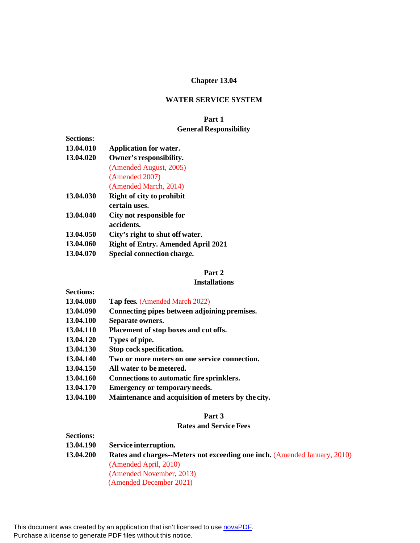# **Chapter 13.04**

### **WATER SERVICE SYSTEM**

# **Part 1 General Responsibility**

| <b>Sections:</b> |                                           |
|------------------|-------------------------------------------|
| 13.04.010        | <b>Application for water.</b>             |
| 13.04.020        | Owner's responsibility.                   |
|                  | (Amended August, 2005)                    |
|                  | (Amended 2007)                            |
|                  | (Amended March, 2014)                     |
| 13.04.030        | <b>Right of city to prohibit</b>          |
|                  | certain uses.                             |
| 13.04.040        | City not responsible for                  |
|                  | accidents.                                |
| 13.04.050        | City's right to shut off water.           |
| 13.04.060        | <b>Right of Entry. Amended April 2021</b> |
| 13.04.070        | <b>Special connection charge.</b>         |

# **Part 2**

### **Installations**

- **13.04.080 Tap fees.** (Amended March 2022)
- **13.04.090 Connecting pipes between adjoining premises.**
- **13.04.100 Separate owners.**
- **13.04.110 Placement of stop boxes and cut offs.**
- **13.04.120 Types of pipe.**
- **13.04.130 Stop cock specification.**
- **13.04.140 Two or more meters on one service connection.**
- **13.04.150 All water to be metered.**
- **13.04.160 Connections to automatic fire sprinklers.**
- **13.04.170 Emergency or temporary needs.**
- **13.04.180 Maintenance and acquisition of meters by the city.**

## **Part 3**

#### **Rates and Service Fees**

| <b>Sections:</b> |                                                                                  |
|------------------|----------------------------------------------------------------------------------|
| 13.04.190        | Service interruption.                                                            |
| 13.04.200        | <b>Rates and charges--Meters not exceeding one inch. (Amended January, 2010)</b> |
|                  | (Amended April, 2010)                                                            |
|                  | (Amended November, 2013)                                                         |
|                  | (Amended December 2021)                                                          |

This document was created by an application that isn't licensed to use [novaPDF.](http://www.novapdf.com/) Purchase a license to generate PDF files without this notice.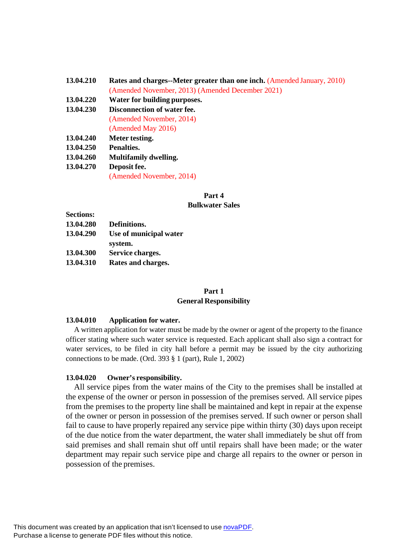| 13.04.210 | <b>Rates and charges--Meter greater than one inch.</b> (Amended January, 2010) |  |  |
|-----------|--------------------------------------------------------------------------------|--|--|
|           | (Amended November, 2013) (Amended December 2021)                               |  |  |
| 13.04.220 | Water for building purposes.                                                   |  |  |
| 13.04.230 | Disconnection of water fee.                                                    |  |  |
|           | (Amended November, 2014)                                                       |  |  |
|           | (Amended May 2016)                                                             |  |  |
| 13.04.240 | Meter testing.                                                                 |  |  |
| 13.04.250 | Penalties.                                                                     |  |  |

**13.04.260 Multifamily dwelling.**

**13.04.270 Deposit fee.**

(Amended November, 2014)

# **Part 4**

### **Bulkwater Sales**

- **Sections: 13.04.280 Definitions. 13.04.290 Use of municipal water system. 13.04.300 Service charges.**
- **13.04.310 Rates and charges.**

# **Part 1 General Responsibility**

### **13.04.010 Application for water.**

A written application for water must be made by the owner or agent of the property to the finance officer stating where such water service is requested. Each applicant shall also sign a contract for water services, to be filed in city hall before a permit may be issued by the city authorizing connections to be made. (Ord. 393 § 1 (part), Rule 1, 2002)

### **13.04.020 Owner's responsibility.**

All service pipes from the water mains of the City to the premises shall be installed at the expense of the owner or person in possession of the premises served. All service pipes from the premises to the property line shall be maintained and kept in repair at the expense of the owner or person in possession of the premises served. If such owner or person shall fail to cause to have properly repaired any service pipe within thirty (30) days upon receipt of the due notice from the water department, the water shall immediately be shut off from said premises and shall remain shut off until repairs shall have been made; or the water department may repair such service pipe and charge all repairs to the owner or person in possession of the premises.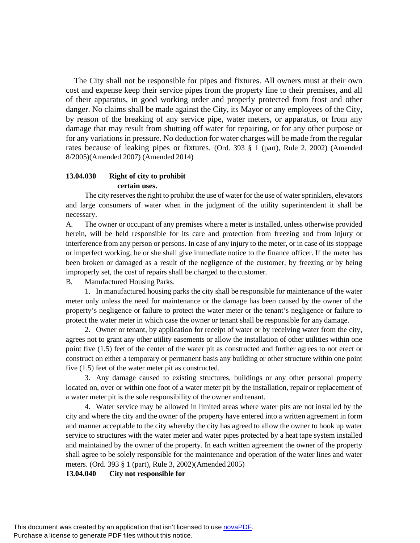The City shall not be responsible for pipes and fixtures. All owners must at their own cost and expense keep their service pipes from the property line to their premises, and all of their apparatus, in good working order and properly protected from frost and other danger. No claims shall be made against the City, its Mayor or any employees of the City, by reason of the breaking of any service pipe, water meters, or apparatus, or from any damage that may result from shutting off water for repairing, or for any other purpose or for any variations in pressure. No deduction for water charges will be made from the regular rates because of leaking pipes or fixtures. (Ord. 393 § 1 (part), Rule 2, 2002) (Amended 8/2005)(Amended 2007) (Amended 2014)

# **13.04.030 Right of city to prohibit certain uses.**

The city reserves the right to prohibit the use of water for the use of water sprinklers, elevators and large consumers of water when in the judgment of the utility superintendent it shall be necessary.

A. The owner or occupant of any premises where a meter is installed, unless otherwise provided herein, will be held responsible for its care and protection from freezing and from injury or interference from any person or persons. In case of any injury to the meter, or in case of its stoppage or imperfect working, he or she shall give immediate notice to the finance officer. If the meter has been broken or damaged as a result of the negligence of the customer, by freezing or by being improperly set, the cost of repairs shall be charged to the customer.

B. Manufactured Housing Parks.

1. In manufactured housing parks the city shall be responsible for maintenance of the water meter only unless the need for maintenance or the damage has been caused by the owner of the property's negligence or failure to protect the water meter or the tenant's negligence or failure to protect the water meter in which case the owner or tenant shall be responsible for any damage.

2. Owner or tenant, by application for receipt of water or by receiving water from the city, agrees not to grant any other utility easements or allow the installation of other utilities within one point five (1.5) feet of the center of the water pit as constructed and further agrees to not erect or construct on either a temporary or permanent basis any building or other structure within one point five (1.5) feet of the water meter pit as constructed.

3. Any damage caused to existing structures, buildings or any other personal property located on, over or within one foot of a water meter pit by the installation, repair or replacement of a water meter pit is the sole responsibility of the owner and tenant.

4. Water service may be allowed in limited areas where water pits are not installed by the city and where the city and the owner of the property have entered into a written agreement in form and manner acceptable to the city whereby the city has agreed to allow the owner to hook up water service to structures with the water meter and water pipes protected by a heat tape system installed and maintained by the owner of the property. In each written agreement the owner of the property shall agree to be solely responsible for the maintenance and operation of the water lines and water meters. (Ord. 393 § 1 (part), Rule 3, 2002)(Amended 2005)

**13.04.040 City not responsible for**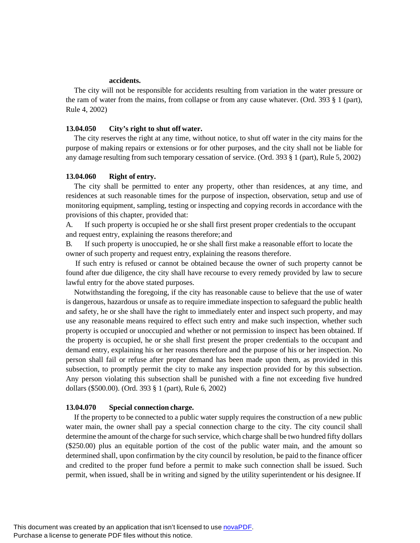## **accidents.**

The city will not be responsible for accidents resulting from variation in the water pressure or the ram of water from the mains, from collapse or from any cause whatever. (Ord. 393  $\S$  1 (part), Rule 4, 2002)

#### **13.04.050 City's right to shut off water.**

The city reserves the right at any time, without notice, to shut off water in the city mains for the purpose of making repairs or extensions or for other purposes, and the city shall not be liable for any damage resulting from such temporary cessation of service. (Ord. 393 § 1 (part), Rule 5, 2002)

#### **13.04.060 Right of entry.**

The city shall be permitted to enter any property, other than residences, at any time, and residences at such reasonable times for the purpose of inspection, observation, setup and use of monitoring equipment, sampling, testing or inspecting and copying records in accordance with the provisions of this chapter, provided that:

A. If such property is occupied he or she shall first present proper credentials to the occupant and request entry, explaining the reasons therefore; and

B. If such property is unoccupied, he or she shall first make a reasonable effort to locate the owner of such property and request entry, explaining the reasons therefore.

If such entry is refused or cannot be obtained because the owner of such property cannot be found after due diligence, the city shall have recourse to every remedy provided by law to secure lawful entry for the above stated purposes.

Notwithstanding the foregoing, if the city has reasonable cause to believe that the use of water is dangerous, hazardous or unsafe as to require immediate inspection to safeguard the public health and safety, he or she shall have the right to immediately enter and inspect such property, and may use any reasonable means required to effect such entry and make such inspection, whether such property is occupied or unoccupied and whether or not permission to inspect has been obtained. If the property is occupied, he or she shall first present the proper credentials to the occupant and demand entry, explaining his or her reasons therefore and the purpose of his or her inspection. No person shall fail or refuse after proper demand has been made upon them, as provided in this subsection, to promptly permit the city to make any inspection provided for by this subsection. Any person violating this subsection shall be punished with a fine not exceeding five hundred dollars (\$500.00). (Ord. 393 § 1 (part), Rule 6, 2002)

### **13.04.070 Special connection charge.**

If the property to be connected to a public water supply requires the construction of a new public water main, the owner shall pay a special connection charge to the city. The city council shall determine the amount of the charge for such service, which charge shall be two hundred fifty dollars (\$250.00) plus an equitable portion of the cost of the public water main, and the amount so determined shall, upon confirmation by the city council by resolution, be paid to the finance officer and credited to the proper fund before a permit to make such connection shall be issued. Such permit, when issued, shall be in writing and signed by the utility superintendent or his designee.If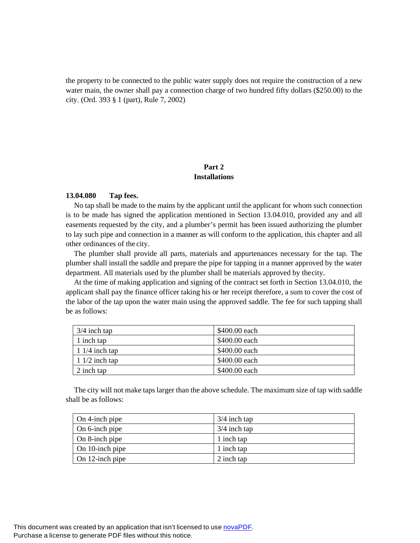the property to be connected to the public water supply does not require the construction of a new water main, the owner shall pay a connection charge of two hundred fifty dollars (\$250.00) to the city. (Ord. 393 § 1 (part), Rule 7, 2002)

# **Part 2 Installations**

### **13.04.080 Tap fees.**

No tap shall be made to the mains by the applicant until the applicant for whom such connection is to be made has signed the application mentioned in Section 13.04.010, provided any and all easements requested by the city, and a plumber's permit has been issued authorizing the plumber to lay such pipe and connection in a manner as will conform to the application, this chapter and all other ordinances of the city.

The plumber shall provide all parts, materials and appurtenances necessary for the tap. The plumber shall install the saddle and prepare the pipe for tapping in a manner approved by the water department. All materials used by the plumber shall be materials approved by the city.

At the time of making application and signing of the contract set forth in Section 13.04.010, the applicant shall pay the finance officer taking his or her receipt therefore, a sum to cover the cost of the labor of the tap upon the water main using the approved saddle. The fee for such tapping shall be as follows:

| $3/4$ inch tap       | \$400.00 each |
|----------------------|---------------|
| 1 inch tap           | \$400.00 each |
| $\vert$ 1/4 inch tap | \$400.00 each |
| 1 $1/2$ inch tap     | \$400.00 each |
| 2 inch tap           | \$400.00 each |

The city will not make taps larger than the above schedule. The maximum size of tap with saddle shall be as follows:

| $\Box$ On 4-inch pipe | $3/4$ inch tap |
|-----------------------|----------------|
| On 6-inch pipe        | $3/4$ inch tap |
| On 8-inch pipe        | 1 inch tap     |
| On 10-inch pipe       | 1 inch tap     |
| On 12-inch pipe       | 2 inch tap     |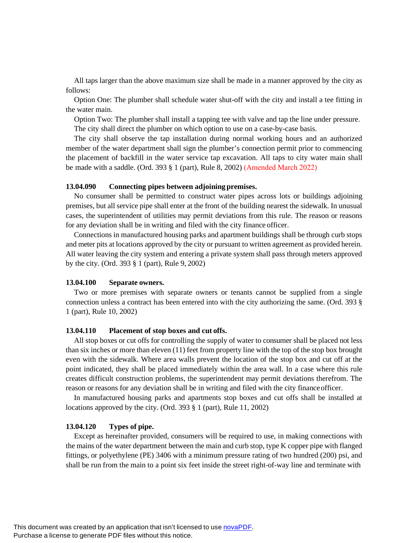All taps larger than the above maximum size shall be made in a manner approved by the city as follows:

Option One: The plumber shall schedule water shut-off with the city and install a tee fitting in the water main.

Option Two: The plumber shall install a tapping tee with valve and tap the line under pressure. The city shall direct the plumber on which option to use on a case-by-case basis.

The city shall observe the tap installation during normal working hours and an authorized member of the water department shall sign the plumber's connection permit prior to commencing the placement of backfill in the water service tap excavation. All taps to city water main shall be made with a saddle. (Ord. 393 § 1 (part), Rule 8, 2002) (Amended March 2022)

#### **13.04.090 Connecting pipes between adjoining premises.**

No consumer shall be permitted to construct water pipes across lots or buildings adjoining premises, but all service pipe shall enter at the front of the building nearest the sidewalk. In unusual cases, the superintendent of utilities may permit deviations from this rule. The reason or reasons for any deviation shall be in writing and filed with the city finance officer.

Connections in manufactured housing parks and apartment buildings shall be through curb stops and meter pits at locations approved by the city or pursuant to written agreement as provided herein. All water leaving the city system and entering a private system shall pass through meters approved by the city. (Ord. 393 § 1 (part), Rule 9, 2002)

### **13.04.100 Separate owners.**

Two or more premises with separate owners or tenants cannot be supplied from a single connection unless a contract has been entered into with the city authorizing the same. (Ord. 393 § 1 (part), Rule 10, 2002)

#### **13.04.110 Placement of stop boxes and cut offs.**

All stop boxes or cut offs for controlling the supply of water to consumer shall be placed not less than six inches or more than eleven (11) feet from property line with the top of the stop box brought even with the sidewalk. Where area walls prevent the location of the stop box and cut off at the point indicated, they shall be placed immediately within the area wall. In a case where this rule creates difficult construction problems, the superintendent may permit deviations therefrom. The reason or reasons for any deviation shall be in writing and filed with the city financeofficer.

In manufactured housing parks and apartments stop boxes and cut offs shall be installed at locations approved by the city. (Ord. 393 § 1 (part), Rule 11, 2002)

#### **13.04.120 Types of pipe.**

Except as hereinafter provided, consumers will be required to use, in making connections with the mains of the water department between the main and curb stop, type K copper pipe with flanged fittings, or polyethylene (PE) 3406 with a minimum pressure rating of two hundred (200) psi, and shall be run from the main to a point six feet inside the street right-of-way line and terminate with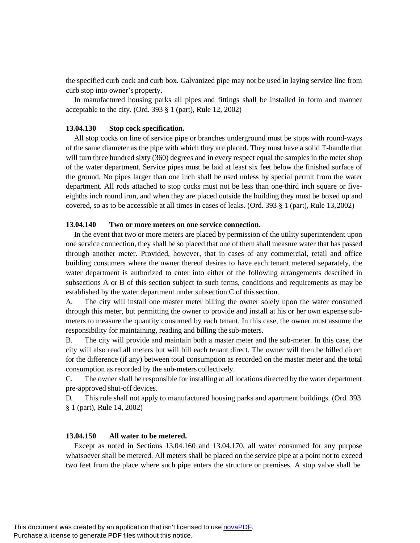the specified curb cock and curb box. Galvanized pipe may not be used in laying service line from curb stop into owner's property.

In manufactured housing parks all pipes and fittings shall be installed in form and manner acceptable to the city. (Ord. 393 § 1 (part), Rule 12, 2002)

#### **13.04.130 Stop cock specification.**

All stop cocks on line of service pipe or branches underground must be stops with round-ways of the same diameter as the pipe with which they are placed. They must have a solid T-handle that will turn three hundred sixty (360) degrees and in every respect equal the samples in the meter shop of the water department. Service pipes must be laid at least six feet below the finished surface of the ground. No pipes larger than one inch shall be used unless by special permit from the water department. All rods attached to stop cocks must not be less than one-third inch square or fiveeighths inch round iron, and when they are placed outside the building they must be boxed up and covered, so as to be accessible at all times in cases of leaks. (Ord. 393 § 1 (part), Rule 13,2002)

#### **13.04.140 Two or more meters on one service connection.**

In the event that two or more meters are placed by permission of the utility superintendent upon one service connection, they shall be so placed that one of them shall measure water that has passed through another meter. Provided, however, that in cases of any commercial, retail and office building consumers where the owner thereof desires to have each tenant metered separately, the water department is authorized to enter into either of the following arrangements described in subsections A or B of this section subject to such terms, conditions and requirements as may be established by the water department under subsection  $C$  of this section.

A. The city will install one master meter billing the owner solely upon the water consumed through this meter, but permitting the owner to provide and install at his or her own expense submeters to measure the quantity consumed by each tenant. In this case, the owner must assume the responsibility for maintaining, reading and billing the sub-meters.

B. The city will provide and maintain both a master meter and the sub-meter. In this case, the city will also read all meters but will bill each tenant direct. The owner will then be billed direct for the difference (if any) between total consumption as recorded on the master meter and the total consumption as recorded by the sub-meters collectively.

C. The owner shall be responsible for installing at all locations directed by the water department pre-approved shut-off devices.

D. This rule shall not apply to manufactured housing parks and apartment buildings. (Ord. 393 § 1 (part), Rule 14, 2002)

#### **13.04.150 All water to be metered.**

Except as noted in Sections 13.04.160 and 13.04.170, all water consumed for any purpose whatsoever shall be metered. All meters shall be placed on the service pipe at a point not to exceed two feet from the place where such pipe enters the structure or premises. A stop valve shall be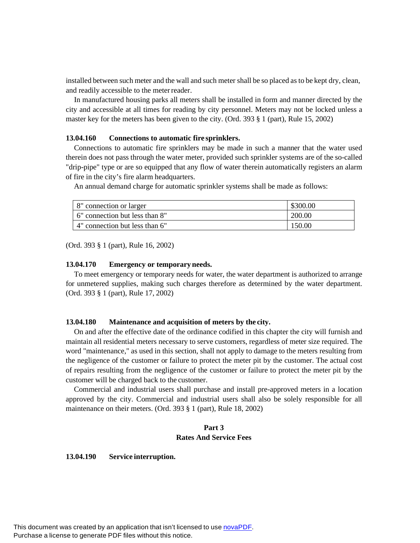installed between such meter and the wall and such meter shall be so placed as to be kept dry, clean, and readily accessible to the meter reader.

In manufactured housing parks all meters shall be installed in form and manner directed by the city and accessible at all times for reading by city personnel. Meters may not be locked unless a master key for the meters has been given to the city. (Ord. 393 § 1 (part), Rule 15, 2002)

#### **13.04.160 Connections to automatic fire sprinklers.**

Connections to automatic fire sprinklers may be made in such a manner that the water used therein does not pass through the water meter, provided such sprinkler systems are of the so-called "drip-pipe" type or are so equipped that any flow of water therein automatically registers an alarm of fire in the city's fire alarm headquarters.

An annual demand charge for automatic sprinkler systems shall be made as follows:

| 8" connection or larger          | \$300.00 |
|----------------------------------|----------|
| 1.6" connection but less than 8" | 200.00   |
| 4" connection but less than 6"   | 150.00   |

(Ord. 393 § 1 (part), Rule 16, 2002)

#### **13.04.170 Emergency or temporary needs.**

To meet emergency or temporary needs for water, the water department is authorized to arrange for unmetered supplies, making such charges therefore as determined by the water department. (Ord. 393 § 1 (part), Rule 17, 2002)

#### **13.04.180 Maintenance and acquisition of meters by the city.**

On and after the effective date of the ordinance codified in this chapter the city will furnish and maintain all residential meters necessary to serve customers, regardless of meter size required. The word "maintenance," as used in this section, shall not apply to damage to the meters resulting from the negligence of the customer or failure to protect the meter pit by the customer. The actual cost of repairs resulting from the negligence of the customer or failure to protect the meter pit by the customer will be charged back to the customer.

Commercial and industrial users shall purchase and install pre-approved meters in a location approved by the city. Commercial and industrial users shall also be solely responsible for all maintenance on their meters. (Ord. 393 § 1 (part), Rule 18, 2002)

# **Part 3 Rates And Service Fees**

#### **13.04.190 Service interruption.**

This document was created by an application that isn't licensed to use [novaPDF.](http://www.novapdf.com/) Purchase a license to generate PDF files without this notice.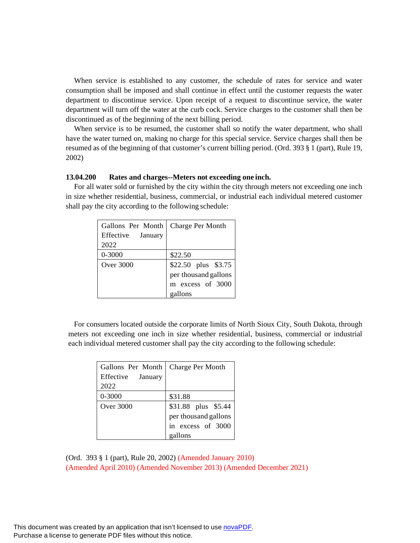When service is established to any customer, the schedule of rates for service and water consumption shall be imposed and shall continue in effect until the customer requests the water department to discontinue service. Upon receipt of a request to discontinue service, the water department will turn off the water at the curb cock. Service charges to the customer shall then be discontinued as of the beginning of the next billing period.

When service is to be resumed, the customer shall so notify the water department, who shall have the water turned on, making no charge for this special service. Service charges shall then be resumed as of the beginning of that customer's current billing period. (Ord. 393 § 1 (part), Rule 19, 2002)

#### **13.04.200 Rates and charges--Meters not exceeding one inch.**

For all water sold or furnished by the city within the city through meters not exceeding one inch in size whether residential, business, commercial, or industrial each individual metered customer shall pay the city according to the following schedule:

| Gallons Per Month | <b>Charge Per Month</b> |  |
|-------------------|-------------------------|--|
| Effective January |                         |  |
| 2022              |                         |  |
| 0-3000            | \$22.50                 |  |
| <b>Over 3000</b>  | \$22.50 plus \$3.75     |  |
|                   | per thousand gallons    |  |
|                   | m excess of 3000        |  |
|                   | gallons                 |  |

 For consumers located outside the corporate limits of North Sioux City, South Dakota, through meters not exceeding one inch in size whether residential, business, commercial or industrial each individual metered customer shall pay the city according to the following schedule:

| Gallons Per Month | <b>Charge Per Month</b> |  |
|-------------------|-------------------------|--|
| Effective January |                         |  |
| 2022              |                         |  |
| 0-3000            | \$31.88                 |  |
| Over 3000         | \$31.88 plus \$5.44     |  |
|                   | per thousand gallons    |  |
|                   | in excess of 3000       |  |
|                   | gallons                 |  |

(Ord. 393 § 1 (part), Rule 20, 2002) (Amended January 2010) (Amended April 2010) (Amended November 2013) (Amended December 2021)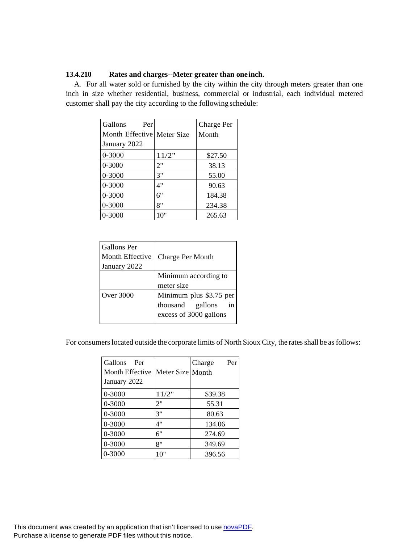### **13.4.210 Rates and charges--Meter greater than oneinch.**

A. For all water sold or furnished by the city within the city through meters greater than one inch in size whether residential, business, commercial or industrial, each individual metered customer shall pay the city according to the following schedule:

| Gallons<br>Per             |       | Charge Per |
|----------------------------|-------|------------|
| Month Effective Meter Size |       | Month      |
| January 2022               |       |            |
| $0 - 3000$                 | 11/2" | \$27.50    |
| $0 - 3000$                 | 2"    | 38.13      |
| 0-3000                     | 3"    | 55.00      |
| 0-3000                     | 4"    | 90.63      |
| 0-3000                     | 6"    | 184.38     |
| 0-3000                     | 8"    | 234.38     |
| 0-3000                     | 10"   | 265.63     |

| Gallons Per<br>Month Effective<br>January 2022 | Charge Per Month                                                      |  |
|------------------------------------------------|-----------------------------------------------------------------------|--|
|                                                | Minimum according to<br>meter size                                    |  |
|                                                |                                                                       |  |
| Over 3000                                      | Minimum plus \$3.75 per<br>thousand gallons<br>excess of 3000 gallons |  |
|                                                |                                                                       |  |

For consumers located outside the corporate limits of North Sioux City, the rates shall be as follows:

| <b>Gallons</b><br>Per<br>Month Effective<br>January 2022 | Meter Size Month | Per<br>Charge |
|----------------------------------------------------------|------------------|---------------|
| 0-3000                                                   | 11/2"            | \$39.38       |
| 0-3000                                                   | 2"               | 55.31         |
| 0-3000                                                   | 3"               | 80.63         |
| $0 - 3000$                                               | 4"               | 134.06        |
| 0-3000                                                   | 6"               | 274.69        |
| 0-3000                                                   | 8"               | 349.69        |
| 0-3000                                                   | 10"              | 396.56        |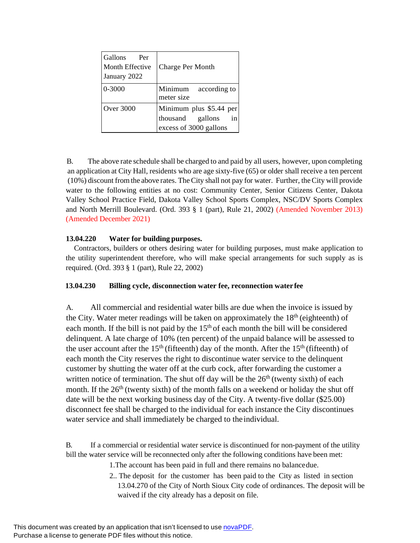| Gallons<br>Per<br>Month Effective<br>January 2022 | Charge Per Month                                                               |
|---------------------------------------------------|--------------------------------------------------------------------------------|
| $0 - 3000$                                        | Minimum<br>according to<br>meter size                                          |
| Over 3000                                         | Minimum plus \$5.44 per<br>thousand<br>gallons<br>in<br>excess of 3000 gallons |

B. The above rate schedule shall be charged to and paid by all users, however, upon completing an application at City Hall, residents who are age sixty-five (65) or older shall receive a ten percent (10%) discount from the above rates. TheCity shall not pay for water. Further, theCity will provide water to the following entities at no cost: Community Center, Senior Citizens Center, Dakota Valley School Practice Field, Dakota Valley School Sports Complex, NSC/DV Sports Complex and North Merrill Boulevard. (Ord. 393 § 1 (part), Rule 21, 2002) (Amended November 2013) (Amended December 2021)

# **13.04.220 Water for building purposes.**

Contractors, builders or others desiring water for building purposes, must make application to the utility superintendent therefore, who will make special arrangements for such supply as is required. (Ord. 393 § 1 (part), Rule 22, 2002)

### **13.04.230 Billing cycle, disconnection water fee, reconnection water fee**

A. All commercial and residential water bills are due when the invoice is issued by the City. Water meter readings will be taken on approximately the  $18<sup>th</sup>$  (eighteenth) of each month. If the bill is not paid by the  $15<sup>th</sup>$  of each month the bill will be considered delinquent. A late charge of 10% (ten percent) of the unpaid balance will be assessed to the user account after the  $15<sup>th</sup>$  (fifteenth) day of the month. After the  $15<sup>th</sup>$  (fifteenth) of each month the City reserves the right to discontinue water service to the delinquent customer by shutting the water off at the curb cock, after forwarding the customer a written notice of termination. The shut off day will be the  $26<sup>th</sup>$  (twenty sixth) of each month. If the  $26<sup>th</sup>$  (twenty sixth) of the month falls on a weekend or holiday the shut off date will be the next working business day of the City. A twenty-five dollar (\$25.00) disconnect fee shall be charged to the individual for each instance the City discontinues water service and shall immediately be charged to the individual.

B. If a commercial or residential water service is discontinued for non-payment of the utility bill the water service will be reconnected only after the following conditions have been met:

- 1.The account has been paid in full and there remains no balancedue.
- 2.. The deposit for the customer has been paid to the City as listed in section 13.04.270 of the City of North Sioux City code of ordinances. The deposit will be waived if the city already has a deposit on file.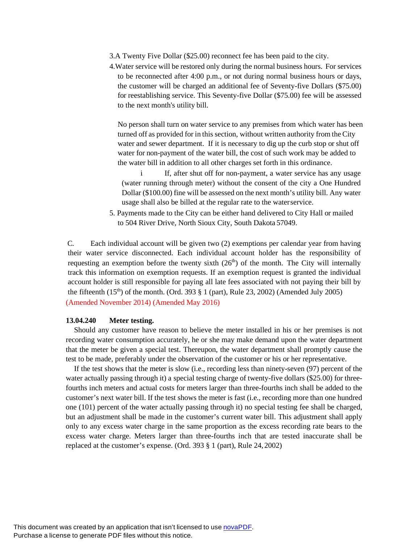- 3.A Twenty Five Dollar (\$25.00) reconnect fee has been paid to the city.
- 4.Water service will be restored only during the normal business hours. For services to be reconnected after 4:00 p.m., or not during normal business hours or days, the customer will be charged an additional fee of Seventy-five Dollars (\$75.00) for reestablishing service. This Seventy-five Dollar (\$75.00) fee will be assessed to the next month's utility bill.

No person shall turn on water service to any premises from which water has been turned off as provided for in this section, without written authority from the City water and sewer department. If it is necessary to dig up the curb stop or shut off water for non-payment of the water bill, the cost of such work may be added to the water bill in addition to all other charges set forth in this ordinance.

i If, after shut off for non-payment, a water service has any usage (water running through meter) without the consent of the city a One Hundred Dollar (\$100.00) fine will be assessed on the next month's utility bill. Any water usage shall also be billed at the regular rate to the waterservice.

5. Payments made to the City can be either hand delivered to City Hall or mailed to 504 River Drive, North Sioux City, South Dakota 57049.

C. Each individual account will be given two (2) exemptions per calendar year from having their water service disconnected. Each individual account holder has the responsibility of requesting an exemption before the twenty sixth  $(26<sup>th</sup>)$  of the month. The City will internally track this information on exemption requests. If an exemption request is granted the individual account holder is still responsible for paying all late fees associated with not paying their bill by the fifteenth  $(15<sup>th</sup>)$  of the month. (Ord. 393 § 1 (part), Rule 23, 2002) (Amended July 2005) (Amended November 2014) (Amended May 2016)

#### **13.04.240 Meter testing.**

Should any customer have reason to believe the meter installed in his or her premises is not recording water consumption accurately, he or she may make demand upon the water department that the meter be given a special test. Thereupon, the water department shall promptly cause the test to be made, preferably under the observation of the customer or his or her representative.

If the test shows that the meter is slow (i.e., recording less than ninety-seven (97) percent of the water actually passing through it) a special testing charge of twenty-five dollars (\$25.00) for threefourths inch meters and actual costs for meters larger than three-fourths inch shall be added to the customer's next water bill. If the test shows the meter is fast (i.e., recording more than one hundred one (101) percent of the water actually passing through it) no special testing fee shall be charged, but an adjustment shall be made in the customer's current water bill. This adjustment shall apply only to any excess water charge in the same proportion as the excess recording rate bears to the excess water charge. Meters larger than three-fourths inch that are tested inaccurate shall be replaced at the customer's expense. (Ord. 393 § 1 (part), Rule 24, 2002)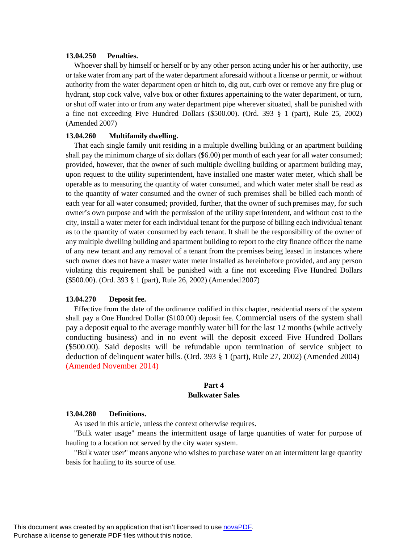#### **13.04.250 Penalties.**

Whoever shall by himself or herself or by any other person acting under his or her authority, use or take water from any part of the water department aforesaid without a license or permit, or without authority from the water department open or hitch to, dig out, curb over or remove any fire plug or hydrant, stop cock valve, valve box or other fixtures appertaining to the water department, or turn, or shut off water into or from any water department pipe wherever situated, shall be punished with a fine not exceeding Five Hundred Dollars (\$500.00). (Ord. 393 § 1 (part), Rule 25, 2002) (Amended 2007)

### **13.04.260 Multifamily dwelling.**

That each single family unit residing in a multiple dwelling building or an apartment building shall pay the minimum charge of six dollars (\$6.00) per month of each year for all water consumed; provided, however, that the owner of such multiple dwelling building or apartment building may, upon request to the utility superintendent, have installed one master water meter, which shall be operable as to measuring the quantity of water consumed, and which water meter shall be read as to the quantity of water consumed and the owner of such premises shall be billed each month of each year for all water consumed; provided, further, that the owner of such premises may, for such owner's own purpose and with the permission of the utility superintendent, and without cost to the city, install a water meter for each individual tenant for the purpose of billing each individual tenant as to the quantity of water consumed by each tenant. It shall be the responsibility of the owner of any multiple dwelling building and apartment building to report to the city finance officer the name of any new tenant and any removal of a tenant from the premises being leased in instances where such owner does not have a master water meter installed as hereinbefore provided, and any person violating this requirement shall be punished with a fine not exceeding Five Hundred Dollars (\$500.00). (Ord. 393 § 1 (part), Rule 26, 2002) (Amended 2007)

### **13.04.270 Deposit fee.**

Effective from the date of the ordinance codified in this chapter, residential users of the system shall pay a One Hundred Dollar (\$100.00) deposit fee. Commercial users of the system shall pay a deposit equal to the average monthly water bill for the last 12 months (while actively conducting business) and in no event will the deposit exceed Five Hundred Dollars (\$500.00). Said deposits will be refundable upon termination of service subject to deduction of delinquent water bills. (Ord. 393 § 1 (part), Rule 27, 2002) (Amended 2004) (Amended November 2014)

### **Part 4 Bulkwater Sales**

#### **13.04.280 Definitions.**

As used in this article, unless the context otherwise requires.

"Bulk water usage" means the intermittent usage of large quantities of water for purpose of hauling to a location not served by the city water system.

"Bulk water user" means anyone who wishes to purchase water on an intermittent large quantity basis for hauling to its source of use.